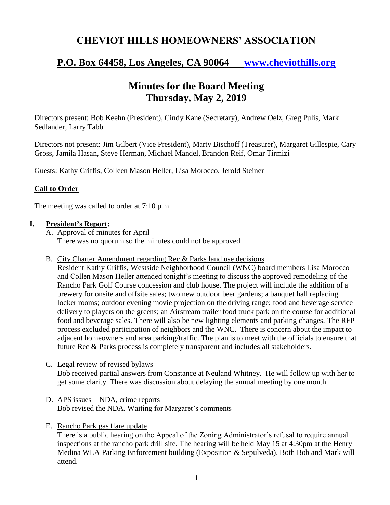## **CHEVIOT HILLS HOMEOWNERS' ASSOCIATION**

# **P.O. Box 64458, Los Angeles, CA 90064 [www.cheviothills.org](http://www.cheviothills.org/)**

## **Minutes for the Board Meeting Thursday, May 2, 2019**

Directors present: Bob Keehn (President), Cindy Kane (Secretary), Andrew Oelz, Greg Pulis, Mark Sedlander, Larry Tabb

Directors not present: Jim Gilbert (Vice President), Marty Bischoff (Treasurer), Margaret Gillespie, Cary Gross, Jamila Hasan, Steve Herman, Michael Mandel, Brandon Reif, Omar Tirmizi

Guests: Kathy Griffis, Colleen Mason Heller, Lisa Morocco, Jerold Steiner

### **Call to Order**

The meeting was called to order at 7:10 p.m.

#### **I. President's Report:**

A. Approval of minutes for April There was no quorum so the minutes could not be approved.

B. City Charter Amendment regarding Rec & Parks land use decisions

Resident Kathy Griffis, Westside Neighborhood Council (WNC) board members Lisa Morocco and Collen Mason Heller attended tonight's meeting to discuss the approved remodeling of the Rancho Park Golf Course concession and club house. The project will include the addition of a brewery for onsite and offsite sales; two new outdoor beer gardens; a banquet hall replacing locker rooms; outdoor evening movie projection on the driving range; food and beverage service delivery to players on the greens; an Airstream trailer food truck park on the course for additional food and beverage sales. There will also be new lighting elements and parking changes. The RFP process excluded participation of neighbors and the WNC. There is concern about the impact to adjacent homeowners and area parking/traffic. The plan is to meet with the officials to ensure that future Rec & Parks process is completely transparent and includes all stakeholders.

- C. Legal review of revised bylaws Bob received partial answers from Constance at Neuland Whitney. He will follow up with her to get some clarity. There was discussion about delaying the annual meeting by one month.
- D. APS issues NDA, crime reports Bob revised the NDA. Waiting for Margaret's comments
- E. Rancho Park gas flare update

There is a public hearing on the Appeal of the Zoning Administrator's refusal to require annual inspections at the rancho park drill site. The hearing will be held May 15 at 4:30pm at the Henry Medina WLA Parking Enforcement building (Exposition & Sepulveda). Both Bob and Mark will attend.